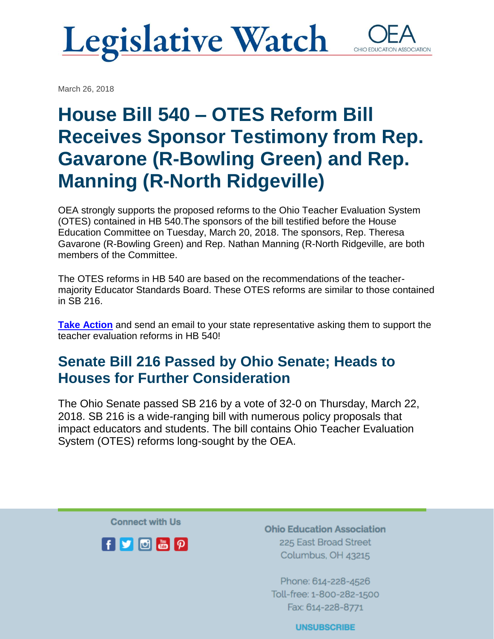### **Legislative Watch** OHIO EDUCATI

March 26, 2018

House Bill 540 – OTES Reform Bill Receives Sponsor Testimony from Rep. Gavarone (R-Bowling Green) and Rep. Manning (R-North Ridgeville)

OEA strongly supports the proposed reforms to the Ohio Teacher Evaluation System (OTES) contained in HB 540.The sponsors of the bill testified before the House Education Committee on Tuesday, March 20, 2018. The sponsors, Rep. Theresa Gavarone (R-Bowling Green) and Rep. Nathan Manning (R-North Ridgeville, are both members of the Committee.

The OTES reforms in HB 540 are based on the recommendations of the teachermajority Educator Standards Board. These OTES reforms are similar to those contained in SB 216.

**[Take Action](http://click.email.nea.org/?qs=540ee7f6b76ff05423ff8efc595ea635f8ce15dadb45d08371e4d0c4c3064e0243f74beeb5feb5cabae73c456cd48cf87d8bc28d540692bd)** and send an email to your state representative asking them to support the teacher evaluation reforms in HB 540!

### Senate Bill 216 Passed by Ohio Senate; Heads to Houses for Further Consideration

The Ohio Senate passed SB 216 by a vote of 32-0 on Thursday, March 22, 2018. SB 216 is a wide-ranging bill with numerous policy proposals that impact educators and students. The bill contains Ohio Teacher Evaluation System (OTES) reforms long-sought by the OEA.

**Connect with Us** 



**Ohio Education Association** 225 East Broad Street Columbus, OH 43215

Phone: 614-228-4526 Toll-free: 1-800-282-1500 Fax: 614-228-8771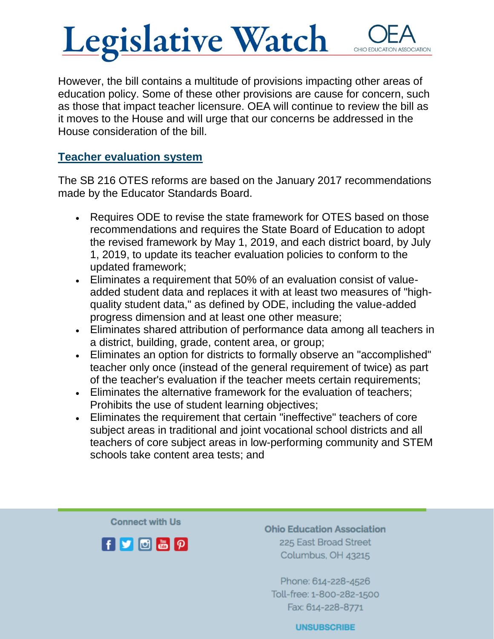## **Legislative Watch**

However, the bill contains a multitude of provisions impacting other areas of education policy. Some of these other provisions are cause for concern, such as those that impact teacher licensure. OEA will continue to review the bill as it moves to the House and will urge that our concerns be addressed in the House consideration of the bill.

#### Teacher evaluation system

The SB 216 OTES reforms are based on the January 2017 recommendations made by the Educator Standards Board.

- Requires ODE to revise the state framework for OTES based on those recommendations and requires the State Board of Education to adopt the revised framework by May 1, 2019, and each district board, by July 1, 2019, to update its teacher evaluation policies to conform to the updated framework;
- Eliminates a requirement that 50% of an evaluation consist of valueadded student data and replaces it with at least two measures of "highquality student data," as defined by ODE, including the value-added progress dimension and at least one other measure;
- Eliminates shared attribution of performance data among all teachers in a district, building, grade, content area, or group;
- Eliminates an option for districts to formally observe an "accomplished" teacher only once (instead of the general requirement of twice) as part of the teacher's evaluation if the teacher meets certain requirements;
- Eliminates the alternative framework for the evaluation of teachers; Prohibits the use of student learning objectives;
- Eliminates the requirement that certain "ineffective" teachers of core subject areas in traditional and joint vocational school districts and all teachers of core subject areas in low-performing community and STEM schools take content area tests; and

**Connect with Us** 



**Ohio Education Association** 225 East Broad Street Columbus, OH 43215

Phone: 614-228-4526 Toll-free: 1-800-282-1500 Fax: 614-228-8771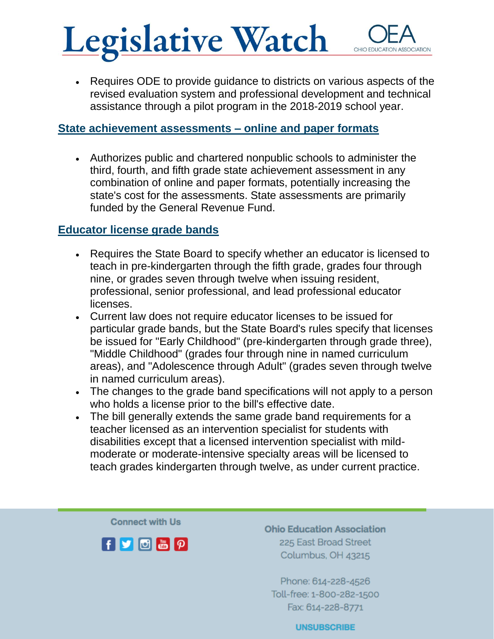# **Legislative Watch**

• Requires ODE to provide guidance to districts on various aspects of the revised evaluation system and professional development and technical assistance through a pilot program in the 2018-2019 school year.

### State achievement assessments – online and paper formats

• Authorizes public and chartered nonpublic schools to administer the third, fourth, and fifth grade state achievement assessment in any combination of online and paper formats, potentially increasing the state's cost for the assessments. State assessments are primarily funded by the General Revenue Fund.

### Educator license grade bands

- Requires the State Board to specify whether an educator is licensed to teach in pre-kindergarten through the fifth grade, grades four through nine, or grades seven through twelve when issuing resident, professional, senior professional, and lead professional educator licenses.
- Current law does not require educator licenses to be issued for particular grade bands, but the State Board's rules specify that licenses be issued for "Early Childhood" (pre-kindergarten through grade three), "Middle Childhood" (grades four through nine in named curriculum areas), and "Adolescence through Adult" (grades seven through twelve in named curriculum areas).
- The changes to the grade band specifications will not apply to a person who holds a license prior to the bill's effective date.
- The bill generally extends the same grade band requirements for a teacher licensed as an intervention specialist for students with disabilities except that a licensed intervention specialist with mildmoderate or moderate-intensive specialty areas will be licensed to teach grades kindergarten through twelve, as under current practice.

**Connect with Us** 



**Ohio Education Association** 225 East Broad Street Columbus, OH 43215

Phone: 614-228-4526 Toll-free: 1-800-282-1500 Fax: 614-228-8771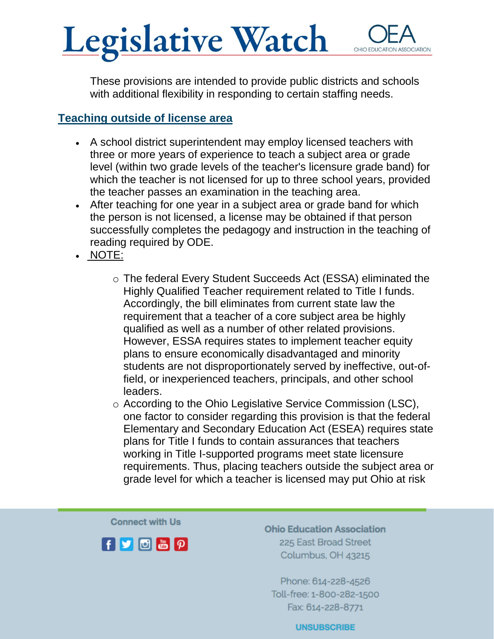## Legislative Watch

These provisions are intended to provide public districts and schools with additional flexibility in responding to certain staffing needs.

### Teaching outside of license area

- A school district superintendent may employ licensed teachers with three or more years of experience to teach a subject area or grade level (within two grade levels of the teacher's licensure grade band) for which the teacher is not licensed for up to three school years, provided the teacher passes an examination in the teaching area.
- After teaching for one year in a subject area or grade band for which the person is not licensed, a license may be obtained if that person successfully completes the pedagogy and instruction in the teaching of reading required by ODE.
- NOTE:
	- o The federal Every Student Succeeds Act (ESSA) eliminated the Highly Qualified Teacher requirement related to Title I funds. Accordingly, the bill eliminates from current state law the requirement that a teacher of a core subject area be highly qualified as well as a number of other related provisions. However, ESSA requires states to implement teacher equity plans to ensure economically disadvantaged and minority students are not disproportionately served by ineffective, out-offield, or inexperienced teachers, principals, and other school leaders.
	- o According to the Ohio Legislative Service Commission (LSC), one factor to consider regarding this provision is that the federal Elementary and Secondary Education Act (ESEA) requires state plans for Title I funds to contain assurances that teachers working in Title I-supported programs meet state licensure requirements. Thus, placing teachers outside the subject area or grade level for which a teacher is licensed may put Ohio at risk

**Connect with Us** 



**Ohio Education Association** 225 East Broad Street Columbus, OH 43215

Phone: 614-228-4526 Toll-free: 1-800-282-1500 Fax: 614-228-8771